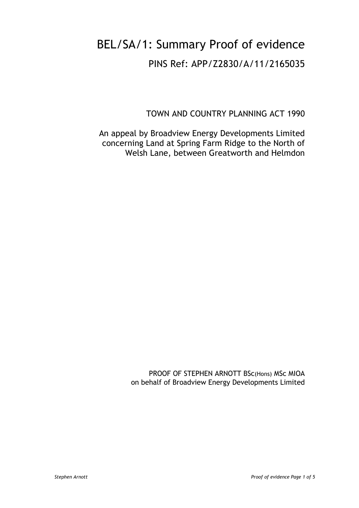## BEL/SA/1: Summary Proof of evidence PINS Ref: APP/Z2830/A/11/2165035

TOWN AND COUNTRY PLANNING ACT 1990

An appeal by Broadview Energy Developments Limited concerning Land at Spring Farm Ridge to the North of Welsh Lane, between Greatworth and Helmdon

> PROOF OF STEPHEN ARNOTT BSc(Hons) MSc MIOA on behalf of Broadview Energy Developments Limited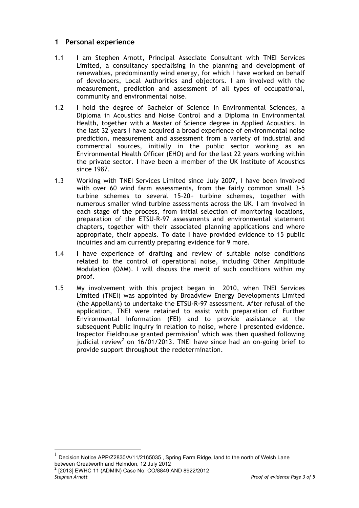## **1 Personal experience**

- 1.1 I am Stephen Arnott, Principal Associate Consultant with TNEI Services Limited, a consultancy specialising in the planning and development of renewables, predominantly wind energy, for which I have worked on behalf of developers, Local Authorities and objectors. I am involved with the measurement, prediction and assessment of all types of occupational, community and environmental noise.
- 1.2 I hold the degree of Bachelor of Science in Environmental Sciences, a Diploma in Acoustics and Noise Control and a Diploma in Environmental Health, together with a Master of Science degree in Applied Acoustics. In the last 32 years I have acquired a broad experience of environmental noise prediction, measurement and assessment from a variety of industrial and commercial sources, initially in the public sector working as an Environmental Health Officer (EHO) and for the last 22 years working within the private sector. I have been a member of the UK Institute of Acoustics since 1987.
- 1.3 Working with TNEI Services Limited since July 2007, I have been involved with over 60 wind farm assessments, from the fairly common small 3-5 turbine schemes to several 15-20+ turbine schemes, together with numerous smaller wind turbine assessments across the UK. I am involved in each stage of the process, from initial selection of monitoring locations, preparation of the ETSU-R-97 assessments and environmental statement chapters, together with their associated planning applications and where appropriate, their appeals. To date I have provided evidence to 15 public inquiries and am currently preparing evidence for 9 more.
- 1.4 I have experience of drafting and review of suitable noise conditions related to the control of operational noise, including Other Amplitude Modulation (OAM). I will discuss the merit of such conditions within my proof.
- 1.5 My involvement with this project began in 2010, when TNEI Services Limited (TNEI) was appointed by Broadview Energy Developments Limited (the Appellant) to undertake the ETSU-R-97 assessment. After refusal of the application, TNEI were retained to assist with preparation of Further Environmental Information (FEI) and to provide assistance at the subsequent Public Inquiry in relation to noise, where I presented evidence. Inspector Fieldhouse granted permission<sup>1</sup> which was then quashed following judicial review<sup>2</sup> on 16/01/2013. TNEI have since had an on-going brief to provide support throughout the redetermination.

 $^1$  Decision Notice APP/Z2830/A/11/2165035 , Spring Farm Ridge, land to the north of Welsh Lane between Greatworth and Helmdon, 12 July 2012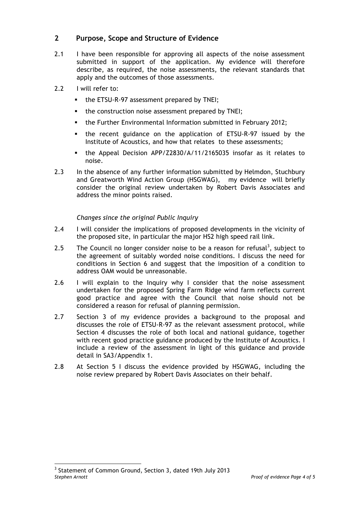## **2 Purpose, Scope and Structure of Evidence**

- 2.1 I have been responsible for approving all aspects of the noise assessment submitted in support of the application. My evidence will therefore describe, as required, the noise assessments, the relevant standards that apply and the outcomes of those assessments.
- 2.2 I will refer to:
	- the ETSU-R-97 assessment prepared by TNEI;
	- the construction noise assessment prepared by TNEI;
	- § the Further Environmental Information submitted in February 2012;
	- § the recent guidance on the application of ETSU-R-97 issued by the Institute of Acoustics, and how that relates to these assessments;
	- § the Appeal Decision APP/Z2830/A/11/2165035 insofar as it relates to noise.
- 2.3 In the absence of any further information submitted by Helmdon, Stuchbury and Greatworth Wind Action Group (HSGWAG), my evidence will briefly consider the original review undertaken by Robert Davis Associates and address the minor points raised.

## *Changes since the original Public Inquiry*

- 2.4 I will consider the implications of proposed developments in the vicinity of the proposed site, in particular the major HS2 high speed rail link.
- 2.5 The Council no longer consider noise to be a reason for refusal<sup>3</sup>, subject to the agreement of suitably worded noise conditions. I discuss the need for conditions in Section 6 and suggest that the imposition of a condition to address OAM would be unreasonable.
- 2.6 I will explain to the Inquiry why I consider that the noise assessment undertaken for the proposed Spring Farm Ridge wind farm reflects current good practice and agree with the Council that noise should not be considered a reason for refusal of planning permission.
- 2.7 Section 3 of my evidence provides a background to the proposal and discusses the role of ETSU-R-97 as the relevant assessment protocol, while Section 4 discusses the role of both local and national guidance, together with recent good practice guidance produced by the Institute of Acoustics. I include a review of the assessment in light of this guidance and provide detail in SA3/Appendix 1.
- 2.8 At Section 5 I discuss the evidence provided by HSGWAG, including the noise review prepared by Robert Davis Associates on their behalf.

*Stephen Arnott Proof of evidence Page 4 of 5* <sup>3</sup> Statement of Common Ground, Section 3, dated 19th July 2013